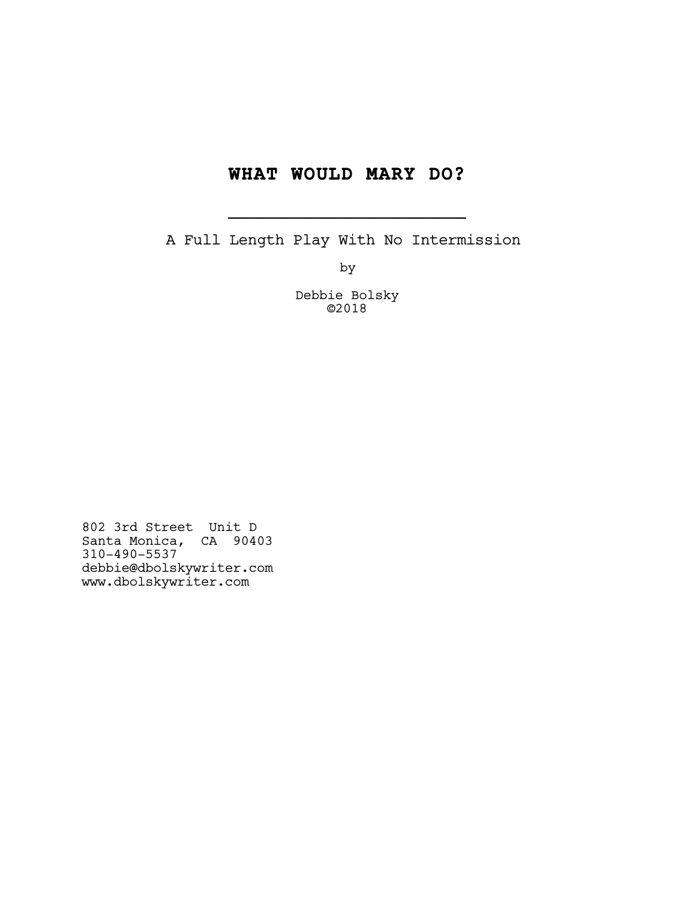# **WHAT WOULD MARY DO?**

**\_\_\_\_\_\_\_\_\_\_\_\_\_\_\_\_\_\_\_**

A Full Length Play With No Intermission

by

Debbie Bolsky ©2018

802 3rd Street Unit D Santa Monica, CA 90403 310-490-5537 debbie@dbolskywriter.com www.dbolskywriter.com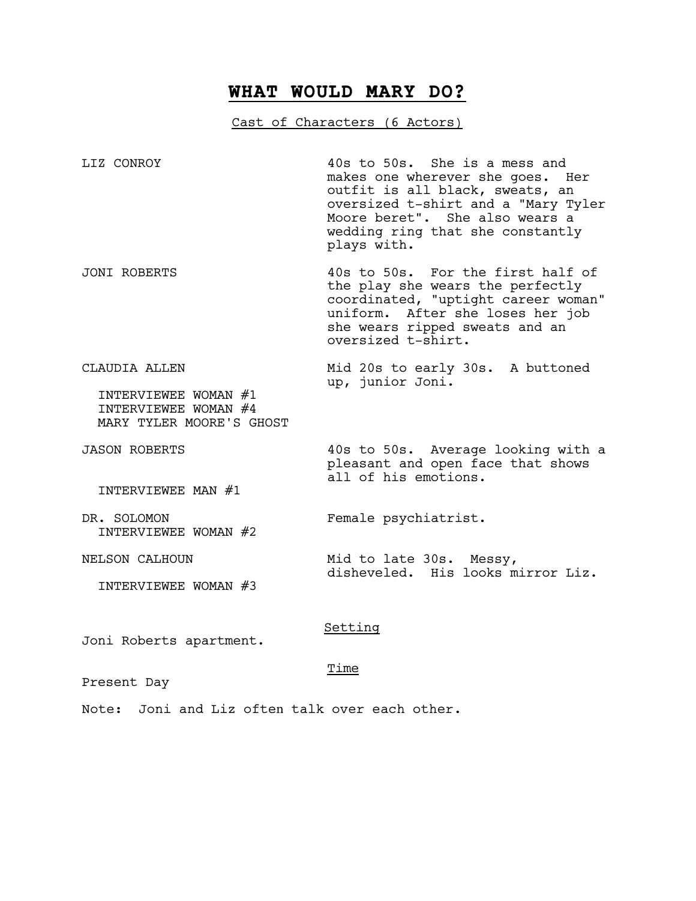# **WHAT WOULD MARY DO?**

# Cast of Characters (6 Actors)

LIZ CONROY 40s to 50s. She is a mess and makes one wherever she goes. Her outfit is all black, sweats, an oversized t-shirt and a "Mary Tyler Moore beret". She also wears a wedding ring that she constantly plays with.

JONI ROBERTS 40s to 50s. For the first half of the play she wears the perfectly coordinated, "uptight career woman" uniform. After she loses her job she wears ripped sweats and an oversized t-shirt.

CLAUDIA ALLEN Mid 20s to early 30s. A buttoned up, junior Joni. INTERVIEWEE WOMAN #1

pleasant and open face that shows

disheveled. His looks mirror Liz.

all of his emotions.

 INTERVIEWEE WOMAN #4 MARY TYLER MOORE'S GHOST

JASON ROBERTS 40s to 50s. Average looking with a

INTERVIEWEE MAN #1

DR. SOLOMON Female psychiatrist. INTERVIEWEE WOMAN #2

NELSON CALHOUN Mid to late 30s. Messy,

INTERVIEWEE WOMAN #3

## Setting

Joni Roberts apartment.

### Time

Present Day

Note: Joni and Liz often talk over each other.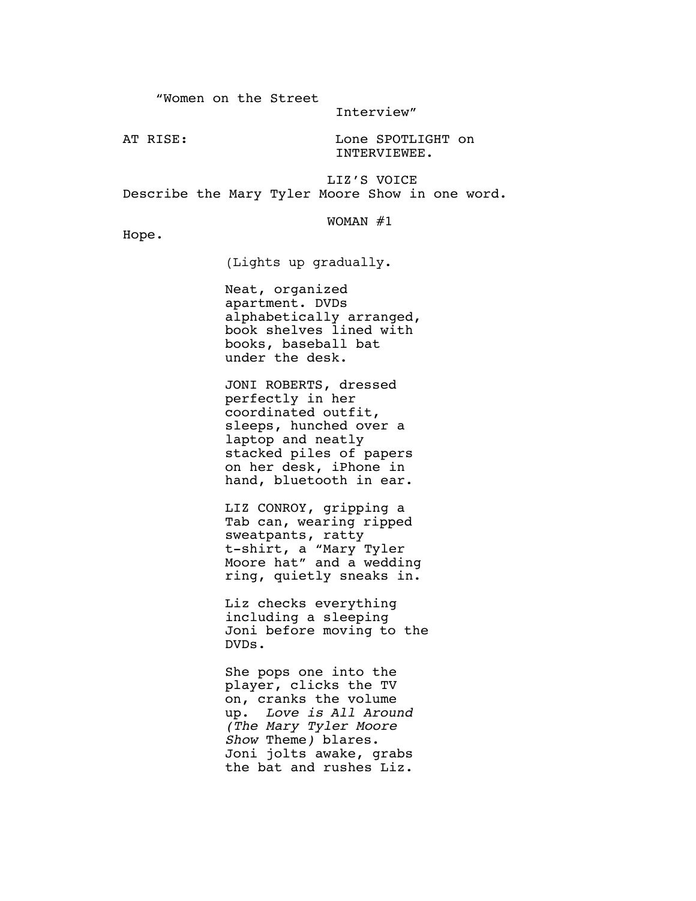"Women on the Street

Interview"

AT RISE: Lone SPOTLIGHT on INTERVIEWEE.

LIZ'S VOICE Describe the Mary Tyler Moore Show in one word.

### WOMAN #1

Hope.

(Lights up gradually.

Neat, organized apartment. DVDs alphabetically arranged, book shelves lined with books, baseball bat under the desk.

JONI ROBERTS, dressed perfectly in her coordinated outfit, sleeps, hunched over a laptop and neatly stacked piles of papers on her desk, iPhone in hand, bluetooth in ear.

LIZ CONROY, gripping a Tab can, wearing ripped sweatpants, ratty t-shirt, a "Mary Tyler Moore hat" and a wedding ring, quietly sneaks in.

Liz checks everything including a sleeping Joni before moving to the DVDs.

She pops one into the player, clicks the TV on, cranks the volume up. *Love is All Around (The Mary Tyler Moore Show* Theme*)* blares. Joni jolts awake, grabs the bat and rushes Liz.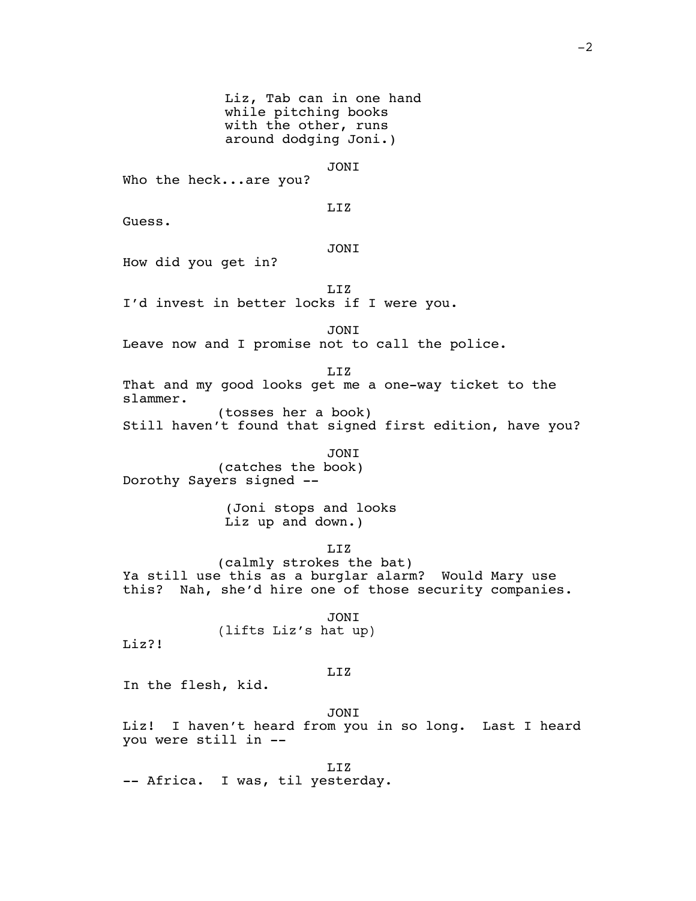Liz, Tab can in one hand while pitching books with the other, runs around dodging Joni.) JONI Who the heck...are you? LIZ Guess. JONI How did you get in? LIZ I'd invest in better locks if I were you. JONI Leave now and I promise not to call the police. LIZ That and my good looks get me a one-way ticket to the slammer. (tosses her a book) Still haven't found that signed first edition, have you? JONI (catches the book) Dorothy Sayers signed -- (Joni stops and looks Liz up and down.) LIZ (calmly strokes the bat) Ya still use this as a burglar alarm? Would Mary use this? Nah, she'd hire one of those security companies. JONI (lifts Liz's hat up) Liz?! LIZ In the flesh, kid. JONI Liz! I haven't heard from you in so long. Last I heard you were still in -- LIZ -- Africa. I was, til yesterday.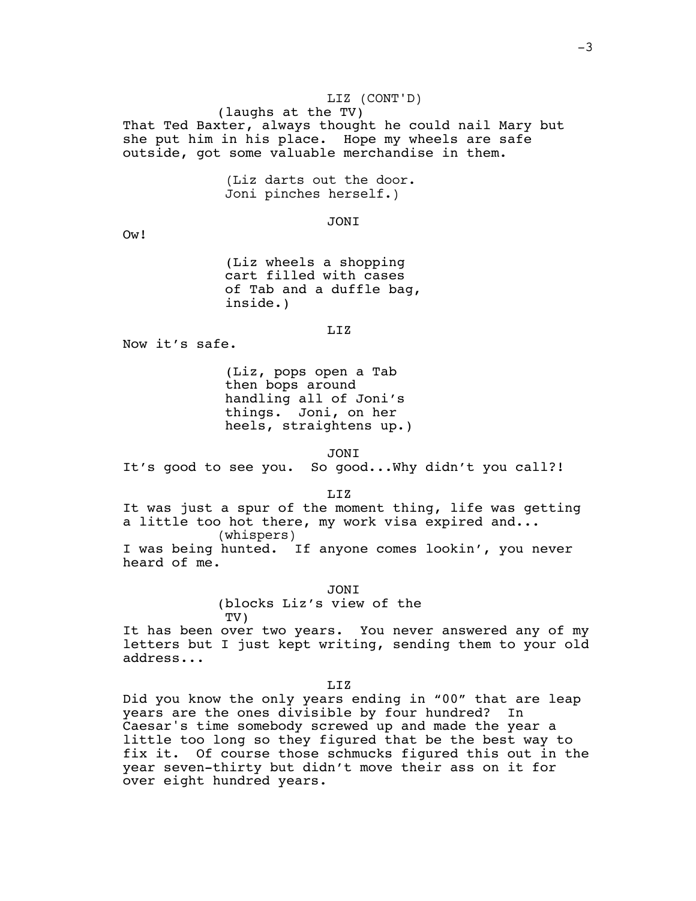### LIZ (CONT'D)

(laughs at the TV)

That Ted Baxter, always thought he could nail Mary but she put him in his place. Hope my wheels are safe outside, got some valuable merchandise in them.

> (Liz darts out the door. Joni pinches herself.)

> > JONI

Ow!

(Liz wheels a shopping cart filled with cases of Tab and a duffle bag, inside.)

LIZ

Now it's safe.

(Liz, pops open a Tab then bops around handling all of Joni's things. Joni, on her heels, straightens up.)

JONI

It's good to see you. So good...Why didn't you call?!

LIZ

It was just a spur of the moment thing, life was getting a little too hot there, my work visa expired and... (whispers) I was being hunted. If anyone comes lookin', you never heard of me.

> JONI (blocks Liz's view of the TV)

It has been over two years. You never answered any of my letters but I just kept writing, sending them to your old address...

LIZ

Did you know the only years ending in "00" that are leap years are the ones divisible by four hundred? In Caesar's time somebody screwed up and made the year a little too long so they figured that be the best way to fix it. Of course those schmucks figured this out in the year seven-thirty but didn't move their ass on it for over eight hundred years.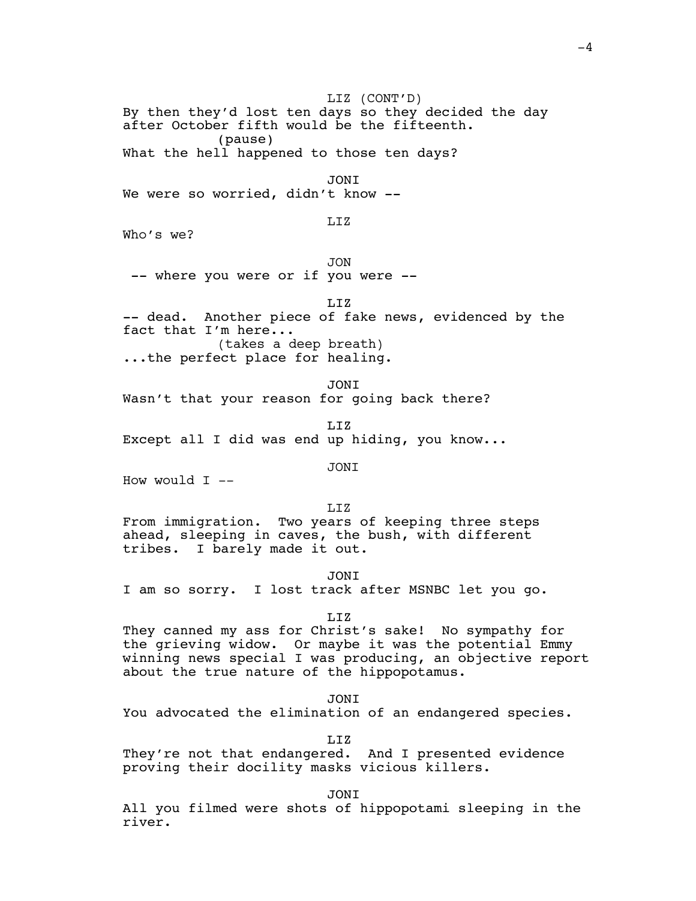LIZ (CONT'D) By then they'd lost ten days so they decided the day after October fifth would be the fifteenth. (pause) What the hell happened to those ten days? JONI We were so worried, didn't know --LIZ Who's we? JON -- where you were or if you were -- LIZ -- dead. Another piece of fake news, evidenced by the fact that I'm here... (takes a deep breath) ...the perfect place for healing. JONI Wasn't that your reason for going back there? LIZ Except all I did was end up hiding, you know... JONI How would  $I$  --LIZ From immigration. Two years of keeping three steps ahead, sleeping in caves, the bush, with different tribes. I barely made it out. JONI I am so sorry. I lost track after MSNBC let you go. LIZ They canned my ass for Christ's sake! No sympathy for the grieving widow. Or maybe it was the potential Emmy winning news special I was producing, an objective report about the true nature of the hippopotamus. JONI You advocated the elimination of an endangered species. LIZ They're not that endangered. And I presented evidence proving their docility masks vicious killers.

JONI

All you filmed were shots of hippopotami sleeping in the river.